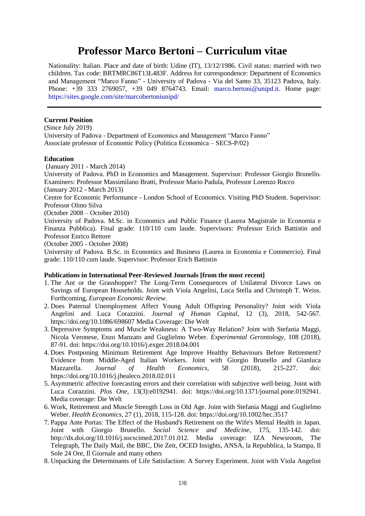# **Professor Marco Bertoni – Curriculum vitae**

Nationality: Italian. Place and date of birth: Udine (IT), 13/12/1986. Civil status: married with two children. Tax code: BRTMRC86T13L483F. Address for correspondence: Department of Economics and Management "Marco Fanno" - University of Padova - Via del Santo 33, 35123 Padova, Italy. Phone: +39 333 2769057, +39 049 8764743. Email: [marco.bertoni@unipd.it.](mailto:marco.bertoni@unipd.it) Home page: <https://sites.google.com/site/marcobertoniunipd/>

#### **Current Position**

(Since July 2019) University of Padova - Department of Economics and Management "Marco Fanno" Associate professor of Economic Policy (Politica Economica – SECS-P/02)

## **Education**

(January 2011 - March 2014)

University of Padova. PhD in Economics and Management. Supervisor: Professor Giorgio Brunello. Examiners: Professor Massimilano Bratti, Professor Mario Padula, Professor Lorenzo Rocco

(January 2012 - March 2013)

Centre for Economic Performance - London School of Economics. Visiting PhD Student. Supervisor: Professor Olmo Silva

(October 2008 – October 2010)

University of Padova. M.Sc. in Economics and Public Finance (Laurea Magistrale in Economia e Finanza Pubblica). Final grade: 110/110 cum laude. Supervisors: Professor Erich Battistin and Professor Enrico Rettore

(October 2005 - October 2008)

University of Padova. B.Sc. in Economics and Business (Laurea in Economia e Commercio). Final grade: 110/110 cum laude. Supervisor: Professor Erich Battistin

#### **Publications in International Peer-Reviewed Journals [from the most recent]**

- 1. The Ant or the Grasshopper? The Long-Term Consequences of Unilateral Divorce Laws on Savings of European Households. Joint with Viola Angelini, Luca Stella and Christoph T. Weiss. Forthcoming, *European Economic Review.*
- 2. Does Paternal Unemployment Affect Young Adult Offspring Personality? Joint with Viola Angelini and Luca Corazzini. *Journal of Human Capital*, 12 (3), 2018, 542-567*.*  https://doi.org/10.1086/698607 Media Coverage: Die Welt
- 3. Depressive Symptoms and Muscle Weakness: A Two-Way Relation? Joint with Stefania Maggi, Nicola Veronese, Enzo Manzato and Guglielmo Weber. *Experimental Gerontology,* 108 (2018), 87-91*.* doi[: https://doi.org/10.1016/j.exger.2018.04.001](https://doi.org/10.1016/j.exger.2018.04.001)
- 4. Does Postponing Minimum Retirement Age Improve Healthy Behaviours Before Retirement? Evidence from Middle-Aged Italian Workers. Joint with Giorgio Brunello and Gianluca Mazzarella. *Journal of Health Economics*, 58 (2018), 215-227. doi: https://doi.org/10.1016/j.jhealeco.2018.02.011
- 5. Asymmetric affective forecasting errors and their correlation with subjective well-being. Joint with Luca Corazzini. *Plos One,* 13(3):e0192941. doi: https://doi.org/10.1371/journal.pone.0192941. Media coverage: Die Welt
- 6. Work, Retirement and Muscle Strength Loss in Old Age. Joint with Stefania Maggi and Guglielmo Weber. *Health Economics*, 27 (1), 2018, 115-128. doi: https://doi.org/10.1002/hec.3517
- 7. Pappa Ante Portas: The Effect of the Husband's Retirement on the Wife's Mental Health in Japan. Joint with Giorgio Brunello. *Social Science and Medicine*, 175, 135-142. doi: http://dx.doi.org/10.1016/j.socscimed.2017.01.012. Media coverage: IZA [Newsroom,](http://newsroom.iza.org/en/2014/08/15/living-with-a-stranger-the-retired-husband-syndrome-in-japan/) [The](http://www.telegraph.co.uk/health/11047463/Stressed-wives-suffer-retired-husband-syndrome.html) [Telegraph,](http://www.telegraph.co.uk/health/11047463/Stressed-wives-suffer-retired-husband-syndrome.html) The [Daily](http://www.dailymail.co.uk/health/article-2729785/Do-YOU-suffer-Retired-Husband-Syndrome-Women-feel-stressed-depressed-men-work.html) Mail, the BBC, Die Zeit, OCED Insights, [ANSA,](http://www.ansa.it/saluteebenessere/notizie/rubriche/medicina/2014/08/18/quando-marito-va-in-pensione-a-rischio-salute-mentale-donna_6a390ae5-8d11-4555-8834-d687979be2a2.html) la [Repubblica,](http://www.repubblica.it/salute/ricerca/2014/08/18/news/le_mogli_e_la_sindrome_da_marito_pensionato-94044198/) la [Stampa,](http://www.lastampa.it/2014/08/18/societa/quando-il-marito-in-pensione-per-la-moglie-aumentano-mal-di-testa-insonnia-e-ansia-uCZY8E0JjjDWKw0ANL20CI/pagina.html) [Il](http://www.salute24.ilsole24ore.com/articles/16944-e-la-sindrome-da-marito-in-pensione-per-le-mogli-insonnia-e-depressione) [Sole](http://www.salute24.ilsole24ore.com/articles/16944-e-la-sindrome-da-marito-in-pensione-per-le-mogli-insonnia-e-depressione) 24 Ore, Il Giornale and many others
- 8. Unpacking the Determinants of Life Satisfaction: A Survey Experiment. Joint with Viola Angelini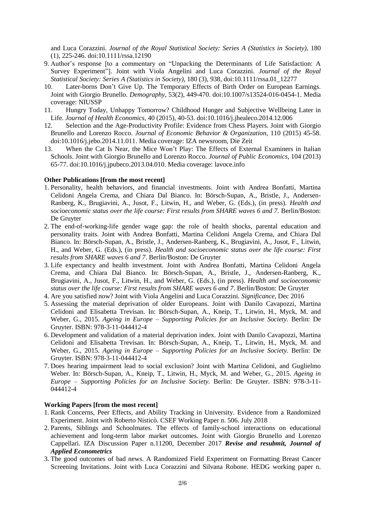and Luca Corazzini. *Journal of the Royal Statistical Society: Series A (Statistics in Society)*, 180 (1), 225-246. doi:10.1111/rssa.12190

- 9. Author's response [to a commentary on "Unpacking the Determinants of Life Satisfaction: A Survey Experiment"]. Joint with Viola Angelini and Luca Corazzini. *Journal of the Royal Statistical Society: Series A (Statistics in Society),* 180 (3), 938, doi:10.1111/rssa.01\_12277
- 10. Later-borns Don't Give Up. The Temporary Effects of Birth Order on European Earnings. Joint with Giorgio Brunello. *Demography*, 53(2), 449-470. doi:10.1007/s13524-016-0454-1. Media coverage: [NIUSSP](http://newsroom.iza.org/en/2014/08/15/living-with-a-stranger-the-retired-husband-syndrome-in-japan/)
- 11. Hungry Today, Unhappy Tomorrow? Childhood Hunger and Subjective Wellbeing Later in Life. *Journal of Health Economics,* 40 (2015), 40-53. [doi:10.1016/j.jhealeco.2014.12.006](http://dx.doi.org/10.1016/j.jhealeco.2014.12.006)
- 12. Selection and the Age-Productivity Profile: Evidence from Chess Players. Joint with Giorgio Brunello and Lorenzo Rocco. *Journal of Economic Behavior & Organization*, 110 (2015) 45-58. [doi:10.1016/j.jebo.2014.11.011.](http://dx.doi.org/10.1016/j.jebo.2014.11.011) Media coverage: IZA newsroom, Die Zeit
- 13. When the Cat Is Near, the Mice Won't Play: The Effects of External Examiners in Italian Schools. Joint with Giorgio Brunello and Lorenzo Rocco. *Journal of Public Economics*, 104 (2013) 65-77. [doi:10.1016/j.jpubeco.2013.04.010.](http://dx.doi.org/10.1016/j.jpubeco.2013.04.010) Media coverage: [lavoce.info](http://www.lavoce.info/invalsi-senza-barare/)

## **Other Publications [from the most recent]**

- 1. Personality, health behaviors, and financial investments. Joint with Andrea Bonfatti, Martina Celidoni Angela Crema, and Chiara Dal Bianco. In: Börsch-Supan, A., Bristle, J., Andersen-Ranberg, K., Brugiavini, A., Jusot, F., Litwin, H., and Weber, G. (Eds.), (in press). *Health and*  socioeconomic status over the life course: First results from SHARE waves 6 and 7. Berlin/Boston: De Gruyter
- 2. The end-of-working-life gender wage gap: the role of health shocks, parental education and personality traits. Joint with Andrea Bonfatti, Martina Celidoni Angela Crema, and Chiara Dal Bianco. In: Börsch-Supan, A., Bristle, J., Andersen-Ranberg, K., Brugiavini, A., Jusot, F., Litwin, H., and Weber, G. (Eds.), (in press). *Health and socioeconomic status over the life course: First results from SHARE waves 6 and 7*. Berlin/Boston: De Gruyter
- 3. Life expectancy and health investment. Joint with Andrea Bonfatti, Martina Celidoni Angela Crema, and Chiara Dal Bianco. In: Börsch-Supan, A., Bristle, J., Andersen-Ranberg, K., Brugiavini, A., Jusot, F., Litwin, H., and Weber, G. (Eds.), (in press). *Health and socioeconomic status over the life course: First results from SHARE waves 6 and 7*. Berlin/Boston: De Gruyter
- 4. Are you satisfied now? Joint with Viola Angelini and Luca Corazzini. *[Significance](http://onlinelibrary.wiley.com/doi/10.1111/j.1740-9713.2016.00975.x/full)*, Dec 2016
- 5. Assessing the material [deprivation](http://www.degruyter.com/view/books/9783110444414/9783110444414-006/9783110444414-006.xml) of older Europeans. Joint with Danilo Cavapozzi, Martina Celidoni and Elisabetta Trevisan. In: Börsch-Supan, A., Kneip, T., Litwin, H., Myck, M. and Weber, G., 2015. *Ageing in Europe – Supporting Policies for an Inclusive Society.* Berlin: De Gruyter. ISBN: 978-3-11-044412-4
- 6. [Development](http://www.degruyter.com/view/books/9783110444414/9783110444414-007/9783110444414-007.xml) and validation of a material deprivation index. Joint with Danilo Cavapozzi, Martina Celidoni and Elisabetta Trevisan. In: Börsch-Supan, A., Kneip, T., Litwin, H., Myck, M. and Weber, G., 2015. *Ageing in Europe – Supporting Policies for an Inclusive Society*. Berlin: De Gruyter. ISBN: 978-3-11-044412-4
- 7. Does hearing [impairment](http://www.degruyter.com/view/books/9783110444414/9783110444414-010/9783110444414-010.xml) lead to social exclusion? Joint with Martina Celidoni, and Guglielmo Weber. In: Börsch-Supan, A., Kneip, T., Litwin, H., Myck, M. and Weber, G., 2015. *Ageing in Europe – Supporting Policies for an Inclusive Society.* Berlin: De Gruyter. ISBN: 978-3-11- 044412-4

#### **Working Papers [from the most recent]**

- 1. Rank Concerns, Peer Effects, and Ability Tracking in University. Evidence from a Randomized Experiment. Joint with Roberto Nisticò. [CSEF Working Paper n. 506.](https://www.google.com/url?q=https%3A%2F%2Fideas.repec.org%2Fp%2Fsef%2Fcsefwp%2F506.html&sa=D&sntz=1&usg=AFQjCNG38mJX8kusqU6iGlQ2IAsAoRmK6A) July 2018
- 2. Parents, Siblings and Schoolmates. The effects of family-school interactions on educational achievement and long-term labor market outcomes. Joint with Giorgio Brunello and Lorenzo Cappellari. IZA Discussion Paper n.11200, December 2017 *Revise and resubmit, Journal of Applied Econometrics*
- 3. The good outcomes of bad news. A Randomized Field Experiment on Formatting Breast Cancer Screening Invitations. Joint with Luca Corazzini and Silvana Robone. HEDG working paper n.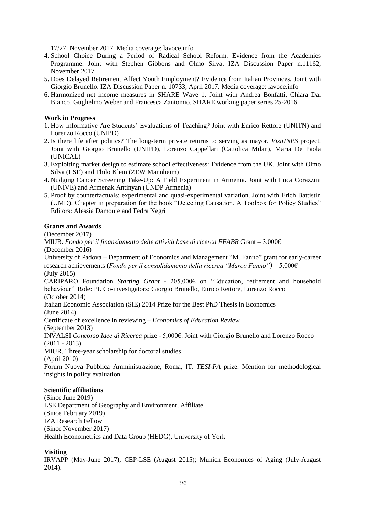17/27, November 2017. Media coverage: [lavoce.info](http://www.lavoce.info/invalsi-senza-barare/)

- 4. School Choice During a Period of Radical School Reform. Evidence from the Academies Programme. Joint with Stephen Gibbons and Olmo Silva. IZA Discussion Paper n.11162, November 2017
- 5. Does Delayed Retirement Affect Youth Employment? Evidence from Italian Provinces. Joint with Giorgio Brunello. IZA Discussion Paper n. 10733, April 2017. Media coverage: lavoce.info
- 6. Harmonized net income measures in SHARE Wave 1. Joint with Andrea Bonfatti, Chiara Dal Bianco, Guglielmo Weber and Francesca Zantomio. SHARE working paper series 25-2016

## **Work in Progress**

- 1. How Informative Are Students' Evaluations of Teaching? Joint with Enrico Rettore (UNITN) and Lorenzo Rocco (UNIPD)
- 2. Is there life after politics? The long-term private returns to serving as mayor. *VisitINPS* project. Joint with Giorgio Brunello (UNIPD), Lorenzo Cappellari (Cattolica Milan), Maria De Paola (UNICAL)
- 3. Exploiting market design to estimate school effectiveness: Evidence from the UK. Joint with Olmo Silva (LSE) and Thilo Klein (ZEW Mannheim)
- 4. Nudging Cancer Screening Take-Up: A Field Experiment in Armenia. Joint with Luca Corazzini (UNIVE) and Armenak Antinyan (UNDP Armenia)
- 5. Proof by counterfactuals: experimental and quasi-experimental variation. Joint with Erich Battistin (UMD). Chapter in preparation for the book "Detecting Causation. A Toolbox for Policy Studies" Editors: Alessia Damonte and Fedra Negri

## **Grants and Awards**

(December 2017)

MIUR. *Fondo per il finanziamento delle attività base di ricerca FFABR* Grant – 3,000€ (December 2016)

University of Padova – Department of Economics and Management "M. Fanno" grant for early-career research achievements (*Fondo per il consolidamento della ricerca "Marco Fanno")* – 5,000€ (July 2015)

CARIPARO Foundation *Starting Grant* - 205,000€ on "Education, retirement and household behaviour". Role: PI. Co-investigators: Giorgio Brunello, Enrico Rettore, Lorenzo Rocco (October 2014)

Italian Economic Association (SIE) 2014 Prize for the Best PhD Thesis in Economics

(June 2014)

Certificate of excellence in reviewing – *Economics of Education Review*

(September 2013)

INVALSI *Concorso Idee di Ricerca* prize - 5,000€. Joint with Giorgio Brunello and Lorenzo Rocco (2011 - 2013)

MIUR. Three-year scholarship for doctoral studies

(April 2010)

Forum Nuova Pubblica Amministrazione, Roma, IT. *TESI-PA* prize. Mention for methodological insights in policy evaluation

#### **Scientific affiliations**

(Since June 2019) LSE Department of Geography and Environment, Affiliate (Since February 2019) IZA Research Fellow (Since November 2017) Health Econometrics and Data Group (HEDG), University of York

## **Visiting**

IRVAPP (May-June 2017); CEP-LSE (August 2015); Munich Economics of Aging (July-August 2014).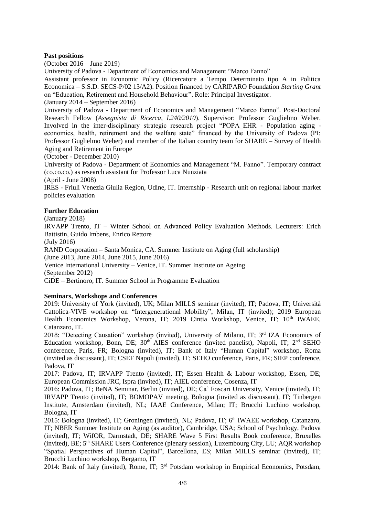#### **Past positions**

(October 2016 – June 2019)

University of Padova - Department of Economics and Management "Marco Fanno"

Assistant professor in Economic Policy (Ricercatore a Tempo Determinato tipo A in Politica Economica – S.S.D. SECS-P/02 13/A2). Position financed by CARIPARO Foundation *Starting Grant* on "Education, Retirement and Household Behaviour". Role: Principal Investigator.

(January 2014 – September 2016)

University of Padova - Department of Economics and Management "Marco Fanno". Post-Doctoral Research Fellow (*Assegnista di Ricerca, l.240/2010*). Supervisor: Professor Guglielmo Weber. Involved in the inter-disciplinary strategic research project "POPA\_EHR - Population aging economics, health, retirement and the welfare state" financed by the University of Padova (PI: Professor Guglielmo Weber) and member of the Italian country team for SHARE – Survey of Health Aging and Retirement in Europe

(October - December 2010)

University of Padova - Department of Economics and Management "M. Fanno". Temporary contract (co.co.co.) as research assistant for Professor Luca Nunziata

(April - June 2008)

IRES - Friuli Venezia Giulia Region, Udine, IT. Internship - Research unit on regional labour market policies evaluation

#### **Further Education**

(January 2018)

IRVAPP Trento, IT – Winter School on Advanced Policy Evaluation Methods. Lecturers: Erich Battistin, Guido Imbens, Enrico Rettore

(July 2016)

RAND Corporation – Santa Monica, CA. Summer Institute on Aging (full scholarship) (June 2013, June 2014, June 2015, June 2016) Venice International University – Venice, IT. Summer Institute on Ageing

(September 2012)

CiDE – Bertinoro, IT. Summer School in Programme Evaluation

#### **Seminars, Workshops and Conferences**

2019: University of York (invited), UK; Milan MILLS seminar (invited), IT; Padova, IT; Università Cattolica-VIVE workshop on "Intergenerational Mobility", Milan, IT (invited); 2019 European Health Economics Workshop, Verona, IT; 2019 Cintia Workshop, Venice, IT; 10<sup>th</sup> IWAEE, Catanzaro, IT.

2018: "Detecting Causation" workshop (invited), University of Milano, IT; 3<sup>rd</sup> IZA Economics of Education workshop, Bonn, DE; 30<sup>th</sup> AIES conference (invited panelist), Napoli, IT; 2<sup>nd</sup> SEHO conference, Paris, FR; Bologna (invited), IT; Bank of Italy "Human Capital" workshop, Roma (invited as discussant), IT; CSEF Napoli (invited), IT; SEHO conference, Paris, FR; SIEP conference, Padova, IT

2017: Padova, IT; IRVAPP Trento (invited), IT; Essen Health & Labour workshop, Essen, DE; European Commission JRC, Ispra (invited), IT; AIEL conference, Cosenza, IT

2016: Padova, IT; BeNA Seminar, Berlin (invited), DE; Ca' Foscari University, Venice (invited), IT; IRVAPP Trento (invited), IT; BOMOPAV meeting, Bologna (invited as discussant), IT; Tinbergen Institute, Amsterdam (invited), NL; IAAE Conference, Milan; IT; Brucchi Luchino workshop, Bologna, IT

2015: Bologna (invited), IT; Groningen (invited), NL; Padova, IT; 6<sup>th</sup> IWAEE workshop, Catanzaro, IT; NBER Summer Institute on Aging (as auditor), Cambridge, USA; School of Psychology, Padova (invited), IT; WifOR, Darmstadt, DE; SHARE Wave 5 First Results Book conference, Bruxelles (invited), BE; 5<sup>th</sup> SHARE Users Conference (plenary session), Luxembourg City, LU; AQR workshop "Spatial Perspectives of Human Capital", Barcellona, ES; Milan MILLS seminar (invited), IT; Brucchi Luchino workshop, Bergamo, IT

2014: Bank of Italy (invited), Rome, IT; 3<sup>rd</sup> Potsdam workshop in Empirical Economics, Potsdam,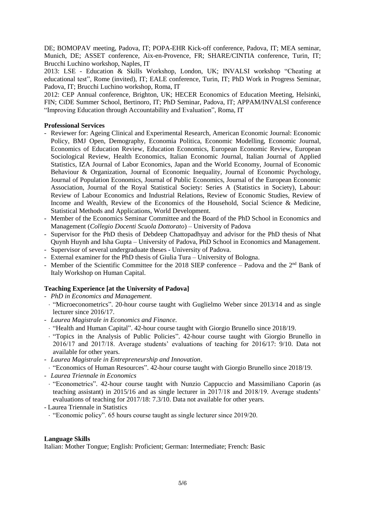DE; BOMOPAV meeting, Padova, IT; POPA-EHR Kick-off conference, Padova, IT; MEA seminar, Munich, DE; ASSET conference, Aix-en-Provence, FR; SHARE/CINTIA conference, Turin, IT; Brucchi Luchino workshop, Naples, IT

2013: LSE - Education & Skills Workshop, London, UK; INVALSI workshop "Cheating at educational test", Rome (invited), IT; EALE conference, Turin, IT; PhD Work in Progress Seminar, Padova, IT; Brucchi Luchino workshop, Roma, IT

2012: CEP Annual conference, Brighton, UK; HECER Economics of Education Meeting, Helsinki, FIN; CiDE Summer School, Bertinoro, IT; PhD Seminar, Padova, IT; APPAM/INVALSI conference "Improving Education through Accountability and Evaluation", Roma, IT

### **Professional Services**

- Reviewer for: Ageing Clinical and Experimental Research, American Economic Journal: Economic Policy, BMJ Open, Demography, Economia Politica, Economic Modelling, Economic Journal, Economics of Education Review, Education Economics, European Economic Review, European Sociological Review, Health Economics, Italian Economic Journal, Italian Journal of Applied Statistics, IZA Journal of Labor Economics, Japan and the World Economy, Journal of Economic Behaviour & Organization, Journal of Economic Inequality, Journal of Economic Psychology, Journal of Population Economics, Journal of Public Economics, Journal of the European Economic Association, Journal of the Royal Statistical Society: Series A (Statistics in Society), Labour: Review of Labour Economics and Industrial Relations, Review of Economic Studies, Review of Income and Wealth, Review of the Economics of the Household, Social Science & Medicine, Statistical Methods and Applications, World Development.
- Member of the Economics Seminar Committee and the Board of the PhD School in Economics and Management (*Collegio Docenti Scuola Dottorato*) – University of Padova
- Supervisor for the PhD thesis of Debdeep Chattopadhyay and advisor for the PhD thesis of Nhat Quynh Huynh and Isha Gupta – University of Padova, PhD School in Economics and Management.
- Supervisor of several undergraduate theses University of Padova.
- External examiner for the PhD thesis of Giulia Tura University of Bologna.
- Member of the Scientific Committee for the 2018 SIEP conference Padova and the  $2<sup>nd</sup>$  Bank of Italy Workshop on Human Capital.

## **Teaching Experience [at the University of Padova]**

- *PhD in Economics and Management*.
- "Microeconometrics". 20-hour course taught with Guglielmo Weber since 2013/14 and as single lecturer since 2016/17.
- *Laurea Magistrale in Economics and Finance.*
- "Health and Human Capital". 42-hour course taught with Giorgio Brunello since 2018/19.
- "Topics in the Analysis of Public Policies". 42-hour course taught with Giorgio Brunello in 2016/17 and 2017/18. Average students' evaluations of teaching for 2016/17: 9/10. Data not available for other years.
- *Laurea Magistrale in Entrepreneurship and Innovation*.
- "Economics of Human Resources". 42-hour course taught with Giorgio Brunello since 2018/19.
- *Laurea Triennale in Economics*
- "Econometrics". 42-hour course taught with Nunzio Cappuccio and Massimiliano Caporin (as teaching assistant) in 2015/16 and as single lecturer in 2017/18 and 2018/19. Average students' evaluations of teaching for 2017/18: 7.3/10. Data not available for other years.

- Laurea Triennale in Statistics

"Economic policy". 65 hours course taught as single lecturer since 2019/20.

#### **Language Skills**

Italian: Mother Tongue; English: Proficient; German: Intermediate; French: Basic